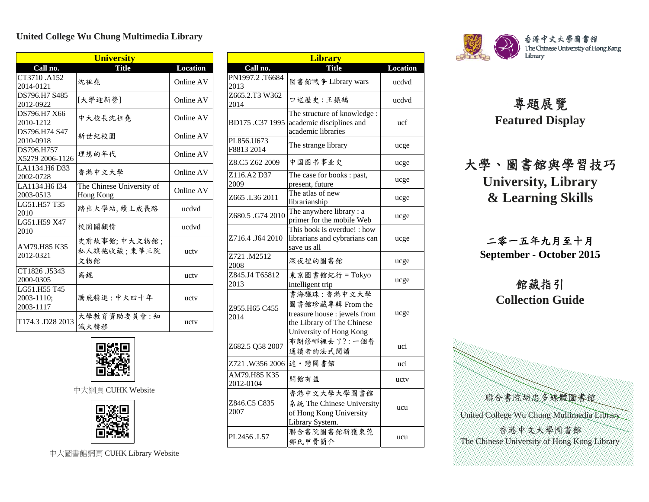## **United College Wu Chung Multimedia Library**

| <b>University</b>          |                           |                 |  |  |
|----------------------------|---------------------------|-----------------|--|--|
| Call no.                   | <b>Title</b>              | <b>Location</b> |  |  |
| CT3710 .A152               | 沈祖堯                       | Online AV       |  |  |
| 2014-0121                  |                           |                 |  |  |
| DS796.H7 S485<br>2012-0922 | [大學迎新營]                   | Online AV       |  |  |
| DS796.H7 X66               | 中大校長沈祖堯                   | Online AV       |  |  |
| 2010-1212                  |                           |                 |  |  |
| DS796.H74 S47<br>2010-0918 | 新世紀校園                     | Online AV       |  |  |
| DS796.H757                 | 理想的年代                     | Online AV       |  |  |
| X5279 2006-1126            |                           |                 |  |  |
| LA1134.H6 D33<br>2002-0728 | 香港中文大學                    | Online AV       |  |  |
| LA1134.H6 I34              | The Chinese University of | Online AV       |  |  |
| 2003-0513                  | Hong Kong                 |                 |  |  |
| LG51.H57 T35<br>2010       | 踏出大學站,續上成長路               | ucdvd           |  |  |
| LG51.H59 X47               | 校園關顧情                     | ucdvd           |  |  |
| 2010                       |                           |                 |  |  |
| AM79.H85 K35<br>2012-0321  | 史前故事館; 中大文物館;             |                 |  |  |
|                            | 私人旗袍收藏;東華三院               | uctv            |  |  |
|                            | 文物館                       |                 |  |  |
| CT1826 .J5343              | 高錕                        | ucty            |  |  |
| 2000-0305<br>LG51.H55 T45  |                           |                 |  |  |
| 2003-1110;                 | 騰飛精進:中大四十年                | uctv            |  |  |
| 2003-1117                  |                           |                 |  |  |
| T174.3 D28 2013            | 大學教育資助委員會:知<br>識大轉移       | ucty            |  |  |



中大網頁 CUHK Website



中大圖書館網頁 CUHK Library Website

| <b>Library</b>            |                                                                                                                          |          |
|---------------------------|--------------------------------------------------------------------------------------------------------------------------|----------|
| Call no.                  | <b>Title</b>                                                                                                             | Location |
| PN1997.2.T6684<br>2013    | 図書館戦争 Library wars                                                                                                       | ucdvd    |
| Z665.2.T3 W362<br>2014    | 口述歷史:王振鵠                                                                                                                 | ucdvd    |
| BD175 .C37 1995           | The structure of knowledge:<br>academic disciplines and<br>academic libraries                                            | ucf      |
| PL856.U673<br>F8813 2014  | The strange library                                                                                                      | ucge     |
| Z8.C5 Z62 2009            | 中国图书事业史                                                                                                                  | ucge     |
| Z116.A2 D37<br>2009       | The case for books: past,<br>present, future                                                                             | ucge     |
| Z665 .L36 2011            | The atlas of new<br>librarianship                                                                                        | ucge     |
| Z680.5 .G74 2010          | The anywhere library: a<br>primer for the mobile Web                                                                     | ucge     |
| Z716.4 .J64 2010          | This book is overdue! : how<br>librarians and cybrarians can<br>save us all                                              | ucge     |
| Z721 M2512<br>2008        | 深夜裡的圖書館                                                                                                                  | ucge     |
| Z845.J4 T65812<br>2013    | 東京圖書館紀行 = Tokyo<br>intelligent trip                                                                                      | ucge     |
| Z955.H65 C455<br>2014     | 書海驪珠:香港中文大學<br>圖書館珍藏專輯 From the<br>treasure house : jewels from<br>the Library of The Chinese<br>University of Hong Kong | ucge     |
| Z682.5 Q58 2007           | 布朗修哪裡去了?:一個普<br>通讀者的法式閱讀                                                                                                 | uci      |
| Z721 .W356 2006           | 述·戀圖書館                                                                                                                   | uci      |
| AM79.H85 K35<br>2012-0104 | 開館有益                                                                                                                     | ucty     |
| Z846.C5 C835<br>2007      | 香港中文大學大學圖書館<br>系統 The Chinese University<br>of Hong Kong University<br>Library System.                                   | ucu      |
| PL2456 L57                | 聯合書院圖書館新獲東莞<br>鄧氏甲骨簡介                                                                                                    | ucu      |



## 專題展覽 **Featured Display**

大學、圖書館與學習技巧 **University, Library & Learning Skills**

二零一五年九月至十月 **September - October 2015** 

## 館藏指引 **Collection Guide**